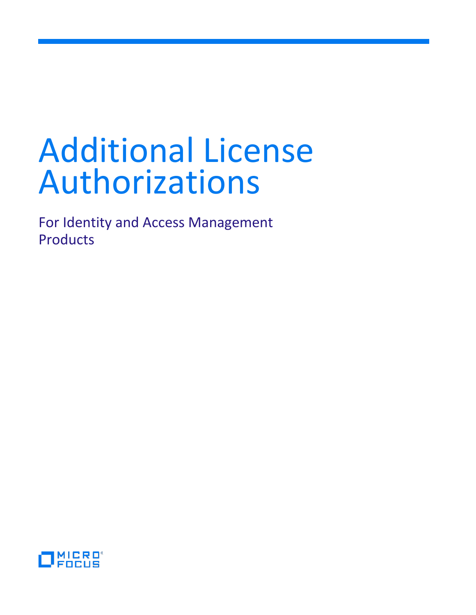# Additional License Authorizations

For Identity and Access Management Products

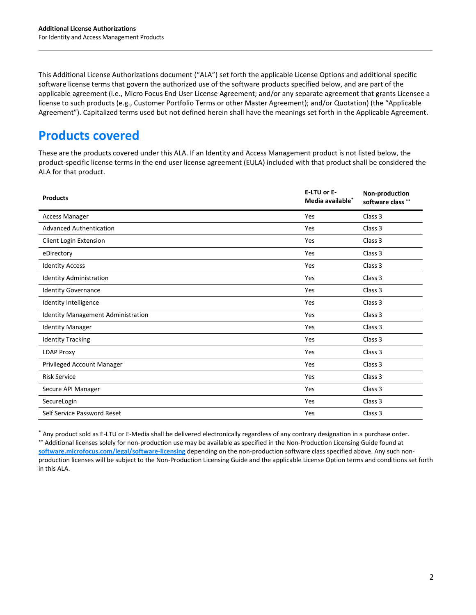This Additional License Authorizations document ("ALA") set forth the applicable License Options and additional specific software license terms that govern the authorized use of the software products specified below, and are part of the applicable agreement (i.e., Micro Focus End User License Agreement; and/or any separate agreement that grants Licensee a license to such products (e.g., Customer Portfolio Terms or other Master Agreement); and/or Quotation) (the "Applicable Agreement"). Capitalized terms used but not defined herein shall have the meanings set forth in the Applicable Agreement.

# **Products covered**

These are the products covered under this ALA. If an Identity and Access Management product is not listed below, the product-specific license terms in the end user license agreement (EULA) included with that product shall be considered the ALA for that product.

| <b>Products</b>                    | E-LTU or E-<br>Media available <sup>*</sup> | Non-production<br>software class ** |
|------------------------------------|---------------------------------------------|-------------------------------------|
| <b>Access Manager</b>              | Yes                                         | Class 3                             |
| <b>Advanced Authentication</b>     | Yes                                         | Class 3                             |
| Client Login Extension             | Yes                                         | Class 3                             |
| eDirectory                         | Yes                                         | Class 3                             |
| <b>Identity Access</b>             | Yes                                         | Class 3                             |
| <b>Identity Administration</b>     | Yes                                         | Class 3                             |
| <b>Identity Governance</b>         | Yes                                         | Class 3                             |
| Identity Intelligence              | Yes                                         | Class 3                             |
| Identity Management Administration | Yes                                         | Class 3                             |
| <b>Identity Manager</b>            | Yes                                         | Class 3                             |
| <b>Identity Tracking</b>           | Yes                                         | Class 3                             |
| <b>LDAP Proxy</b>                  | Yes                                         | Class 3                             |
| Privileged Account Manager         | Yes                                         | Class 3                             |
| <b>Risk Service</b>                | Yes                                         | Class 3                             |
| Secure API Manager                 | Yes                                         | Class 3                             |
| SecureLogin                        | Yes                                         | Class 3                             |
| Self Service Password Reset        | Yes                                         | Class <sub>3</sub>                  |

\* Any product sold as E-LTU or E-Media shall be delivered electronically regardless of any contrary designation in a purchase order. \*\* Additional licenses solely for non-production use may be available as specified in the Non-Production Licensing Guide found at **[software.microfocus.com/legal/software-licensing](http://software.microfocus.com/legal/software-licensing)** depending on the non-production software class specified above. Any such nonproduction licenses will be subject to the Non-Production Licensing Guide and the applicable License Option terms and conditions set forth in this ALA.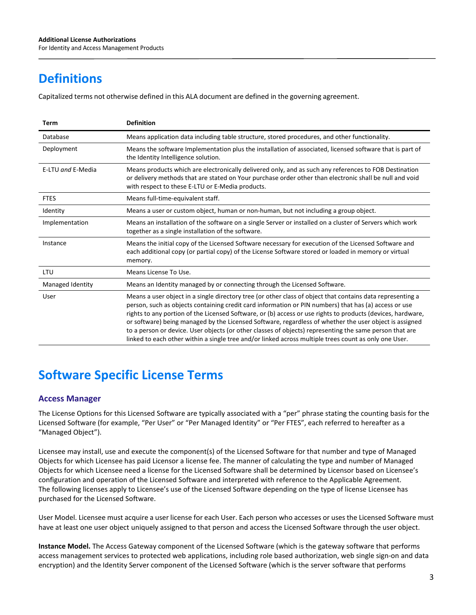# **Definitions**

Capitalized terms not otherwise defined in this ALA document are defined in the governing agreement.

| Term              | <b>Definition</b>                                                                                                                                                                                                                                                                                                                                                                                                                                                                                                                                                                                                                                                |  |
|-------------------|------------------------------------------------------------------------------------------------------------------------------------------------------------------------------------------------------------------------------------------------------------------------------------------------------------------------------------------------------------------------------------------------------------------------------------------------------------------------------------------------------------------------------------------------------------------------------------------------------------------------------------------------------------------|--|
| Database          | Means application data including table structure, stored procedures, and other functionality.                                                                                                                                                                                                                                                                                                                                                                                                                                                                                                                                                                    |  |
| Deployment        | Means the software Implementation plus the installation of associated, licensed software that is part of<br>the Identity Intelligence solution.                                                                                                                                                                                                                                                                                                                                                                                                                                                                                                                  |  |
| E-LTU and E-Media | Means products which are electronically delivered only, and as such any references to FOB Destination<br>or delivery methods that are stated on Your purchase order other than electronic shall be null and void<br>with respect to these E-LTU or E-Media products.                                                                                                                                                                                                                                                                                                                                                                                             |  |
| <b>FTES</b>       | Means full-time-equivalent staff.                                                                                                                                                                                                                                                                                                                                                                                                                                                                                                                                                                                                                                |  |
| Identity          | Means a user or custom object, human or non-human, but not including a group object.                                                                                                                                                                                                                                                                                                                                                                                                                                                                                                                                                                             |  |
| Implementation    | Means an installation of the software on a single Server or installed on a cluster of Servers which work<br>together as a single installation of the software.                                                                                                                                                                                                                                                                                                                                                                                                                                                                                                   |  |
| Instance          | Means the initial copy of the Licensed Software necessary for execution of the Licensed Software and<br>each additional copy (or partial copy) of the License Software stored or loaded in memory or virtual<br>memory.                                                                                                                                                                                                                                                                                                                                                                                                                                          |  |
| LTU               | Means License To Use.                                                                                                                                                                                                                                                                                                                                                                                                                                                                                                                                                                                                                                            |  |
| Managed Identity  | Means an Identity managed by or connecting through the Licensed Software.                                                                                                                                                                                                                                                                                                                                                                                                                                                                                                                                                                                        |  |
| User              | Means a user object in a single directory tree (or other class of object that contains data representing a<br>person, such as objects containing credit card information or PIN numbers) that has (a) access or use<br>rights to any portion of the Licensed Software, or (b) access or use rights to products (devices, hardware,<br>or software) being managed by the Licensed Software, regardless of whether the user object is assigned<br>to a person or device. User objects (or other classes of objects) representing the same person that are<br>linked to each other within a single tree and/or linked across multiple trees count as only one User. |  |

# **Software Specific License Terms**

# **Access Manager**

The License Options for this Licensed Software are typically associated with a "per" phrase stating the counting basis for the Licensed Software (for example, "Per User" or "Per Managed Identity" or "Per FTES", each referred to hereafter as a "Managed Object").

Licensee may install, use and execute the component(s) of the Licensed Software for that number and type of Managed Objects for which Licensee has paid Licensor a license fee. The manner of calculating the type and number of Managed Objects for which Licensee need a license for the Licensed Software shall be determined by Licensor based on Licensee's configuration and operation of the Licensed Software and interpreted with reference to the Applicable Agreement. The following licenses apply to Licensee's use of the Licensed Software depending on the type of license Licensee has purchased for the Licensed Software.

User Model. Licensee must acquire a user license for each User. Each person who accesses or uses the Licensed Software must have at least one user object uniquely assigned to that person and access the Licensed Software through the user object.

**Instance Model.** The Access Gateway component of the Licensed Software (which is the gateway software that performs access management services to protected web applications, including role based authorization, web single sign-on and data encryption) and the Identity Server component of the Licensed Software (which is the server software that performs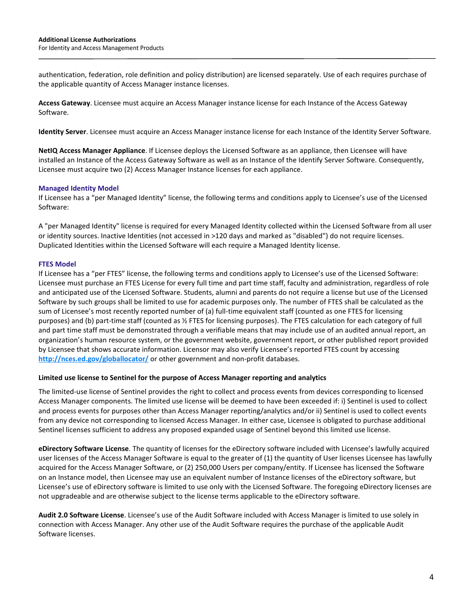authentication, federation, role definition and policy distribution) are licensed separately. Use of each requires purchase of the applicable quantity of Access Manager instance licenses.

**Access Gateway**. Licensee must acquire an Access Manager instance license for each Instance of the Access Gateway Software.

**Identity Server**. Licensee must acquire an Access Manager instance license for each Instance of the Identity Server Software.

**NetIQ Access Manager Appliance**. If Licensee deploys the Licensed Software as an appliance, then Licensee will have installed an Instance of the Access Gateway Software as well as an Instance of the Identify Server Software. Consequently, Licensee must acquire two (2) Access Manager Instance licenses for each appliance.

#### **Managed Identity Model**

If Licensee has a "per Managed Identity" license, the following terms and conditions apply to Licensee's use of the Licensed Software:

A "per Managed Identity" license is required for every Managed Identity collected within the Licensed Software from all user or identity sources. Inactive Identities (not accessed in >120 days and marked as "disabled") do not require licenses. Duplicated Identities within the Licensed Software will each require a Managed Identity license.

#### **FTES Model**

If Licensee has a "per FTES" license, the following terms and conditions apply to Licensee's use of the Licensed Software: Licensee must purchase an FTES License for every full time and part time staff, faculty and administration, regardless of role and anticipated use of the Licensed Software. Students, alumni and parents do not require a license but use of the Licensed Software by such groups shall be limited to use for academic purposes only. The number of FTES shall be calculated as the sum of Licensee's most recently reported number of (a) full-time equivalent staff (counted as one FTES for licensing purposes) and (b) part-time staff (counted as ½ FTES for licensing purposes). The FTES calculation for each category of full and part time staff must be demonstrated through a verifiable means that may include use of an audited annual report, an organization's human resource system, or the government website, government report, or other published report provided by Licensee that shows accurate information. Licensor may also verify Licensee's reported FTES count by accessing **<http://nces.ed.gov/globallocator/>** or other government and non-profit databases.

#### **Limited use license to Sentinel for the purpose of Access Manager reporting and analytics**

The limited-use license of Sentinel provides the right to collect and process events from devices corresponding to licensed Access Manager components. The limited use license will be deemed to have been exceeded if: i) Sentinel is used to collect and process events for purposes other than Access Manager reporting/analytics and/or ii) Sentinel is used to collect events from any device not corresponding to licensed Access Manager. In either case, Licensee is obligated to purchase additional Sentinel licenses sufficient to address any proposed expanded usage of Sentinel beyond this limited use license.

**eDirectory Software License**. The quantity of licenses for the eDirectory software included with Licensee's lawfully acquired user licenses of the Access Manager Software is equal to the greater of (1) the quantity of User licenses Licensee has lawfully acquired for the Access Manager Software, or (2) 250,000 Users per company/entity. If Licensee has licensed the Software on an Instance model, then Licensee may use an equivalent number of Instance licenses of the eDirectory software, but Licensee's use of eDirectory software is limited to use only with the Licensed Software. The foregoing eDirectory licenses are not upgradeable and are otherwise subject to the license terms applicable to the eDirectory software.

**Audit 2.0 Software License**. Licensee's use of the Audit Software included with Access Manager is limited to use solely in connection with Access Manager. Any other use of the Audit Software requires the purchase of the applicable Audit Software licenses.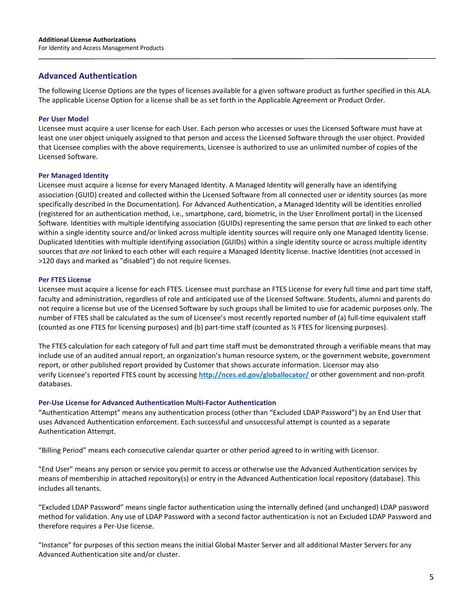# **Advanced Authentication**

The following License Options are the types of licenses available for a given software product as further specified in this ALA. The applicable License Option for a license shall be as set forth in the Applicable Agreement or Product Order.

#### **Per User Model**

Licensee must acquire a user license for each User. Each person who accesses or uses the Licensed Software must have at least one user object uniquely assigned to that person and access the Licensed Software through the user object. Provided that Licensee complies with the above requirements, Licensee is authorized to use an unlimited number of copies of the Licensed Software.

#### **Per Managed Identity**

Licensee must acquire a license for every Managed Identity. A Managed Identity will generally have an identifying association (GUID) created and collected within the Licensed Software from all connected user or identity sources (as more specifically described in the Documentation). For Advanced Authentication, a Managed Identity will be identities enrolled (registered for an authentication method, i.e., smartphone, card, biometric, in the User Enrollment portal) in the Licensed Software. Identities with multiple identifying association (GUIDs) representing the same person that *are* linked to each other within a single identity source and/or linked across multiple identity sources will require only one Managed Identity license. Duplicated Identities with multiple identifying association (GUIDs) within a single identity source or across multiple identity sources that *are not* linked to each other will each require a Managed Identity license. Inactive Identities (not accessed in >120 days and marked as "disabled") do not require licenses.

#### **Per FTES License**

Licensee must acquire a license for each FTES. Licensee must purchase an FTES License for every full time and part time staff, faculty and administration, regardless of role and anticipated use of the Licensed Software. Students, alumni and parents do not require a license but use of the Licensed Software by such groups shall be limited to use for academic purposes only. The number of FTES shall be calculated as the sum of Licensee's most recently reported number of (a) full-time equivalent staff (counted as one FTES for licensing purposes) and (b) part-time staff (counted as ½ FTES for licensing purposes).

The FTES calculation for each category of full and part time staff must be demonstrated through a verifiable means that may include use of an audited annual report, an organization's human resource system, or the government website, government report, or other published report provided by Customer that shows accurate information. Licensor may also verify Licensee's reported FTES count by accessing **<http://nces.ed.gov/globallocator/>** or other government and non-profit databases.

#### **Per-Use License for Advanced Authentication Multi-Factor Authentication**

"Authentication Attempt" means any authentication process (other than "Excluded LDAP Password") by an End User that uses Advanced Authentication enforcement. Each successful and unsuccessful attempt is counted as a separate Authentication Attempt.

"Billing Period" means each consecutive calendar quarter or other period agreed to in writing with Licensor.

"End User" means any person or service you permit to access or otherwise use the Advanced Authentication services by means of membership in attached repository(s) or entry in the Advanced Authentication local repository (database). This includes all tenants.

"Excluded LDAP Password" means single factor authentication using the internally defined (and unchanged) LDAP password method for validation. Any use of LDAP Password with a second factor authentication is not an Excluded LDAP Password and therefore requires a Per-Use license.

"Instance" for purposes of this section means the initial Global Master Server and all additional Master Servers for any Advanced Authentication site and/or cluster.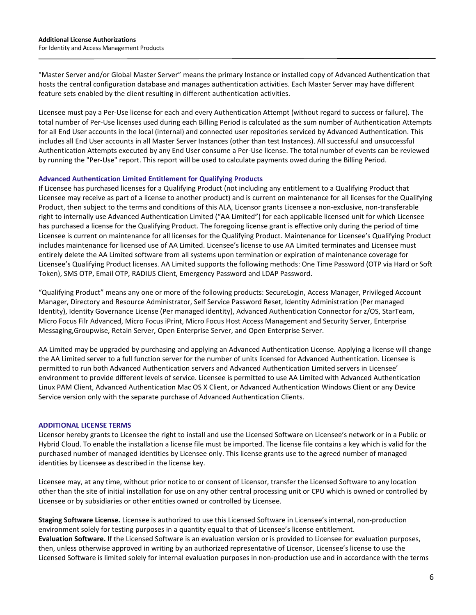"Master Server and/or Global Master Server" means the primary Instance or installed copy of Advanced Authentication that hosts the central configuration database and manages authentication activities. Each Master Server may have different feature sets enabled by the client resulting in different authentication activities.

Licensee must pay a Per-Use license for each and every Authentication Attempt (without regard to success or failure). The total number of Per-Use licenses used during each Billing Period is calculated as the sum number of Authentication Attempts for all End User accounts in the local (internal) and connected user repositories serviced by Advanced Authentication. This includes all End User accounts in all Master Server Instances (other than test Instances). All successful and unsuccessful Authentication Attempts executed by any End User consume a Per-Use license. The total number of events can be reviewed by running the "Per-Use" report. This report will be used to calculate payments owed during the Billing Period.

#### **Advanced Authentication Limited Entitlement for Qualifying Products**

If Licensee has purchased licenses for a Qualifying Product (not including any entitlement to a Qualifying Product that Licensee may receive as part of a license to another product) and is current on maintenance for all licenses for the Qualifying Product, then subject to the terms and conditions of this ALA, Licensor grants Licensee a non-exclusive, non-transferable right to internally use Advanced Authentication Limited ("AA Limited") for each applicable licensed unit for which Licensee has purchased a license for the Qualifying Product. The foregoing license grant is effective only during the period of time Licensee is current on maintenance for all licenses for the Qualifying Product. Maintenance for Licensee's Qualifying Product includes maintenance for licensed use of AA Limited. Licensee's license to use AA Limited terminates and Licensee must entirely delete the AA Limited software from all systems upon termination or expiration of maintenance coverage for Licensee's Qualifying Product licenses. AA Limited supports the following methods: One Time Password (OTP via Hard or Soft Token), SMS OTP, Email OTP, RADIUS Client, Emergency Password and LDAP Password.

"Qualifying Product" means any one or more of the following products: SecureLogin, Access Manager, Privileged Account Manager, Directory and Resource Administrator, Self Service Password Reset, Identity Administration (Per managed Identity), Identity Governance License (Per managed identity), Advanced Authentication Connector for z/OS, StarTeam, Micro Focus Filr Advanced, Micro Focus iPrint, Micro Focus Host Access Management and Security Server, Enterprise Messaging,Groupwise, Retain Server, Open Enterprise Server, and Open Enterprise Server.

AA Limited may be upgraded by purchasing and applying an Advanced Authentication License. Applying a license will change the AA Limited server to a full function server for the number of units licensed for Advanced Authentication. Licensee is permitted to run both Advanced Authentication servers and Advanced Authentication Limited servers in Licensee' environment to provide different levels of service. Licensee is permitted to use AA Limited with Advanced Authentication Linux PAM Client, Advanced Authentication Mac OS X Client, or Advanced Authentication Windows Client or any Device Service version only with the separate purchase of Advanced Authentication Clients.

#### **ADDITIONAL LICENSE TERMS**

Licensor hereby grants to Licensee the right to install and use the Licensed Software on Licensee's network or in a Public or Hybrid Cloud. To enable the installation a license file must be imported. The license file contains a key which is valid for the purchased number of managed identities by Licensee only. This license grants use to the agreed number of managed identities by Licensee as described in the license key.

Licensee may, at any time, without prior notice to or consent of Licensor, transfer the Licensed Software to any location other than the site of initial installation for use on any other central processing unit or CPU which is owned or controlled by Licensee or by subsidiaries or other entities owned or controlled by Licensee.

**Staging Software License.** Licensee is authorized to use this Licensed Software in Licensee's internal, non-production environment solely for testing purposes in a quantity equal to that of Licensee's license entitlement. **Evaluation Software.** If the Licensed Software is an evaluation version or is provided to Licensee for evaluation purposes, then, unless otherwise approved in writing by an authorized representative of Licensor, Licensee's license to use the Licensed Software is limited solely for internal evaluation purposes in non-production use and in accordance with the terms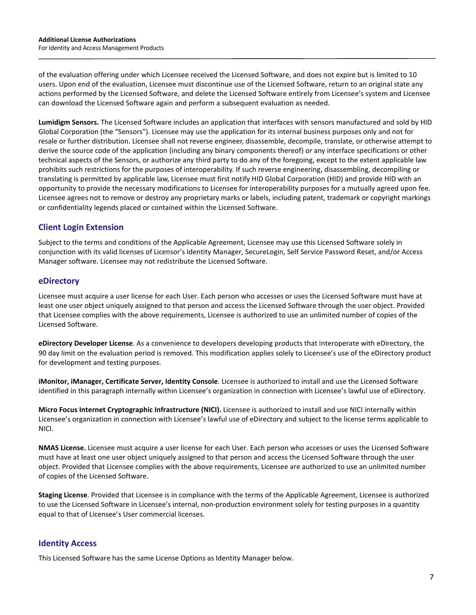of the evaluation offering under which Licensee received the Licensed Software, and does not expire but is limited to 10 users. Upon end of the evaluation, Licensee must discontinue use of the Licensed Software, return to an original state any actions performed by the Licensed Software, and delete the Licensed Software entirely from Licensee's system and Licensee can download the Licensed Software again and perform a subsequent evaluation as needed.

**Lumidigm Sensors.** The Licensed Software includes an application that interfaces with sensors manufactured and sold by HID Global Corporation (the "Sensors"). Licensee may use the application for its internal business purposes only and not for resale or further distribution. Licensee shall not reverse engineer, disassemble, decompile, translate, or otherwise attempt to derive the source code of the application (including any binary components thereof) or any interface specifications or other technical aspects of the Sensors, or authorize any third party to do any of the foregoing, except to the extent applicable law prohibits such restrictions for the purposes of interoperability. If such reverse engineering, disassembling, decompiling or translating is permitted by applicable law, Licensee must first notify HID Global Corporation (HID) and provide HID with an opportunity to provide the necessary modifications to Licensee for interoperability purposes for a mutually agreed upon fee. Licensee agrees not to remove or destroy any proprietary marks or labels, including patent, trademark or copyright markings or confidentiality legends placed or contained within the Licensed Software.

# **Client Login Extension**

Subject to the terms and conditions of the Applicable Agreement, Licensee may use this Licensed Software solely in conjunction with its valid licenses of Licensor's Identity Manager, SecureLogin, Self Service Password Reset, and/or Access Manager software. Licensee may not redistribute the Licensed Software.

# **eDirectory**

Licensee must acquire a user license for each User. Each person who accesses or uses the Licensed Software must have at least one user object uniquely assigned to that person and access the Licensed Software through the user object. Provided that Licensee complies with the above requirements, Licensee is authorized to use an unlimited number of copies of the Licensed Software.

**eDirectory Developer License**. As a convenience to developers developing products that interoperate with eDirectory, the 90 day limit on the evaluation period is removed. This modification applies solely to Licensee's use of the eDirectory product for development and testing purposes.

**iMonitor, iManager, Certificate Server, Identity Console**. Licensee is authorized to install and use the Licensed Software identified in this paragraph internally within Licensee's organization in connection with Licensee's lawful use of eDirectory.

**Micro Focus Internet Cryptographic Infrastructure (NICI).** Licensee is authorized to install and use NICI internally within Licensee's organization in connection with Licensee's lawful use of eDirectory and subject to the license terms applicable to NICI.

**NMAS License.** Licensee must acquire a user license for each User. Each person who accesses or uses the Licensed Software must have at least one user object uniquely assigned to that person and access the Licensed Software through the user object. Provided that Licensee complies with the above requirements, Licensee are authorized to use an unlimited number of copies of the Licensed Software.

**Staging License**. Provided that Licensee is in compliance with the terms of the Applicable Agreement, Licensee is authorized to use the Licensed Software in Licensee's internal, non-production environment solely for testing purposes in a quantity equal to that of Licensee's User commercial licenses.

# **Identity Access**

This Licensed Software has the same License Options as Identity Manager below.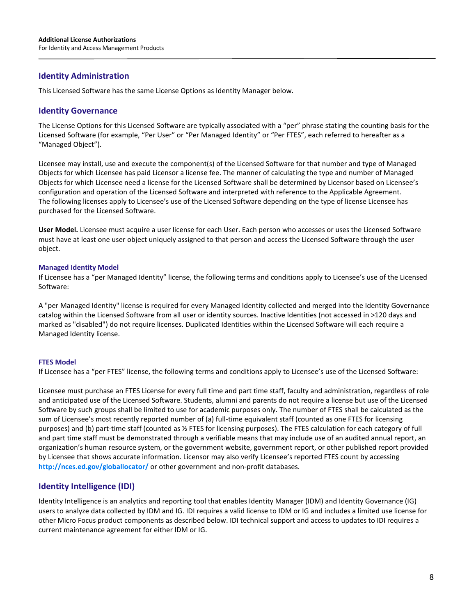# **Identity Administration**

This Licensed Software has the same License Options as Identity Manager below.

# **Identity Governance**

The License Options for this Licensed Software are typically associated with a "per" phrase stating the counting basis for the Licensed Software (for example, "Per User" or "Per Managed Identity" or "Per FTES", each referred to hereafter as a "Managed Object").

Licensee may install, use and execute the component(s) of the Licensed Software for that number and type of Managed Objects for which Licensee has paid Licensor a license fee. The manner of calculating the type and number of Managed Objects for which Licensee need a license for the Licensed Software shall be determined by Licensor based on Licensee's configuration and operation of the Licensed Software and interpreted with reference to the Applicable Agreement. The following licenses apply to Licensee's use of the Licensed Software depending on the type of license Licensee has purchased for the Licensed Software.

**User Model.** Licensee must acquire a user license for each User. Each person who accesses or uses the Licensed Software must have at least one user object uniquely assigned to that person and access the Licensed Software through the user object.

#### **Managed Identity Model**

If Licensee has a "per Managed Identity" license, the following terms and conditions apply to Licensee's use of the Licensed Software:

A "per Managed Identity" license is required for every Managed Identity collected and merged into the Identity Governance catalog within the Licensed Software from all user or identity sources. Inactive Identities (not accessed in >120 days and marked as "disabled") do not require licenses. Duplicated Identities within the Licensed Software will each require a Managed Identity license.

# **FTES Model**

If Licensee has a "per FTES" license, the following terms and conditions apply to Licensee's use of the Licensed Software:

Licensee must purchase an FTES License for every full time and part time staff, faculty and administration, regardless of role and anticipated use of the Licensed Software. Students, alumni and parents do not require a license but use of the Licensed Software by such groups shall be limited to use for academic purposes only. The number of FTES shall be calculated as the sum of Licensee's most recently reported number of (a) full-time equivalent staff (counted as one FTES for licensing purposes) and (b) part-time staff (counted as ½ FTES for licensing purposes). The FTES calculation for each category of full and part time staff must be demonstrated through a verifiable means that may include use of an audited annual report, an organization's human resource system, or the government website, government report, or other published report provided by Licensee that shows accurate information. Licensor may also verify Licensee's reported FTES count by accessing **<http://nces.ed.gov/globallocator/>** or other government and non-profit databases.

# **Identity Intelligence (IDI)**

Identity Intelligence is an analytics and reporting tool that enables Identity Manager (IDM) and Identity Governance (IG) users to analyze data collected by IDM and IG. IDI requires a valid license to IDM or IG and includes a limited use license for other Micro Focus product components as described below. IDI technical support and access to updates to IDI requires a current maintenance agreement for either IDM or IG.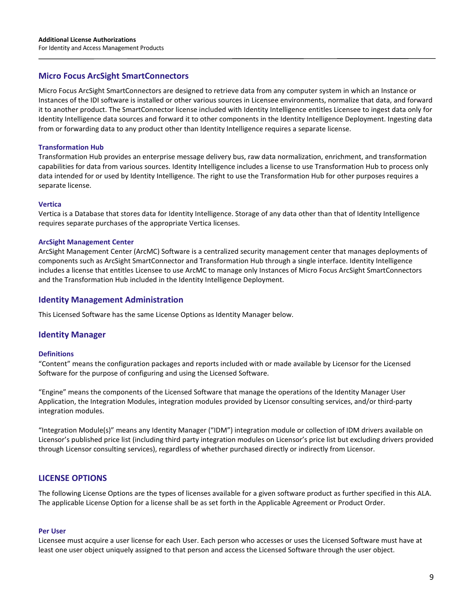# **Micro Focus ArcSight SmartConnectors**

Micro Focus ArcSight SmartConnectors are designed to retrieve data from any computer system in which an Instance or Instances of the IDI software is installed or other various sources in Licensee environments, normalize that data, and forward it to another product. The SmartConnector license included with Identity Intelligence entitles Licensee to ingest data only for Identity Intelligence data sources and forward it to other components in the Identity Intelligence Deployment. Ingesting data from or forwarding data to any product other than Identity Intelligence requires a separate license.

#### **Transformation Hub**

Transformation Hub provides an enterprise message delivery bus, raw data normalization, enrichment, and transformation capabilities for data from various sources. Identity Intelligence includes a license to use Transformation Hub to process only data intended for or used by Identity Intelligence. The right to use the Transformation Hub for other purposes requires a separate license.

#### **Vertica**

Vertica is a Database that stores data for Identity Intelligence. Storage of any data other than that of Identity Intelligence requires separate purchases of the appropriate Vertica licenses.

#### **ArcSight Management Center**

ArcSight Management Center (ArcMC) Software is a centralized security management center that manages deployments of components such as ArcSight SmartConnector and Transformation Hub through a single interface. Identity Intelligence includes a license that entitles Licensee to use ArcMC to manage only Instances of Micro Focus ArcSight SmartConnectors and the Transformation Hub included in the Identity Intelligence Deployment.

#### **Identity Management Administration**

This Licensed Software has the same License Options as Identity Manager below.

# **Identity Manager**

#### **Definitions**

"Content" means the configuration packages and reports included with or made available by Licensor for the Licensed Software for the purpose of configuring and using the Licensed Software.

"Engine" means the components of the Licensed Software that manage the operations of the Identity Manager User Application, the Integration Modules, integration modules provided by Licensor consulting services, and/or third-party integration modules.

"Integration Module(s)" means any Identity Manager ("IDM") integration module or collection of IDM drivers available on Licensor's published price list (including third party integration modules on Licensor's price list but excluding drivers provided through Licensor consulting services), regardless of whether purchased directly or indirectly from Licensor.

# **LICENSE OPTIONS**

The following License Options are the types of licenses available for a given software product as further specified in this ALA. The applicable License Option for a license shall be as set forth in the Applicable Agreement or Product Order.

#### **Per User**

Licensee must acquire a user license for each User. Each person who accesses or uses the Licensed Software must have at least one user object uniquely assigned to that person and access the Licensed Software through the user object.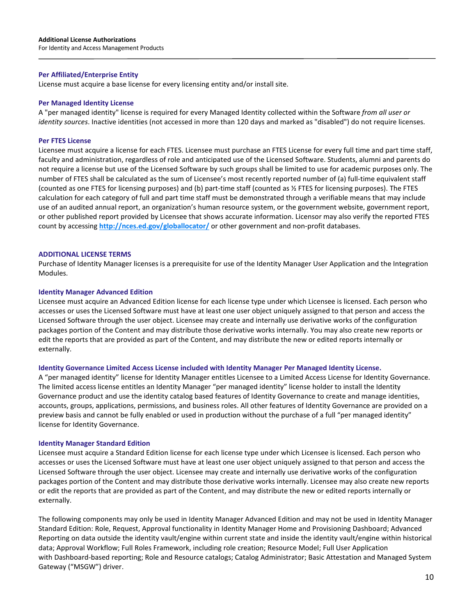For Identity and Access Management Products

# **Per Affiliated/Enterprise Entity**

License must acquire a base license for every licensing entity and/or install site.

# **Per Managed Identity License**

A "per managed identity" license is required for every Managed Identity collected within the Software *from all user or identity sources*. Inactive identities (not accessed in more than 120 days and marked as "disabled") do not require licenses.

# **Per FTES License**

Licensee must acquire a license for each FTES. Licensee must purchase an FTES License for every full time and part time staff, faculty and administration, regardless of role and anticipated use of the Licensed Software. Students, alumni and parents do not require a license but use of the Licensed Software by such groups shall be limited to use for academic purposes only. The number of FTES shall be calculated as the sum of Licensee's most recently reported number of (a) full-time equivalent staff (counted as one FTES for licensing purposes) and (b) part-time staff (counted as ½ FTES for licensing purposes). The FTES calculation for each category of full and part time staff must be demonstrated through a verifiable means that may include use of an audited annual report, an organization's human resource system, or the government website, government report, or other published report provided by Licensee that shows accurate information. Licensor may also verify the reported FTES count by accessing **http://nces.ed.gov/globallocator/** or other government and non-profit databases.

# **ADDITIONAL LICENSE TERMS**

Purchase of Identity Manager licenses is a prerequisite for use of the Identity Manager User Application and the Integration Modules.

# **Identity Manager Advanced Edition**

Licensee must acquire an Advanced Edition license for each license type under which Licensee is licensed. Each person who accesses or uses the Licensed Software must have at least one user object uniquely assigned to that person and access the Licensed Software through the user object. Licensee may create and internally use derivative works of the configuration packages portion of the Content and may distribute those derivative works internally. You may also create new reports or edit the reports that are provided as part of the Content, and may distribute the new or edited reports internally or externally.

# **Identity Governance Limited Access License included with Identity Manager Per Managed Identity License.**

A "per managed identity" license for Identity Manager entitles Licensee to a Limited Access License for Identity Governance. The limited access license entitles an Identity Manager "per managed identity" license holder to install the Identity Governance product and use the identity catalog based features of Identity Governance to create and manage identities, accounts, groups, applications, permissions, and business roles. All other features of Identity Governance are provided on a preview basis and cannot be fully enabled or used in production without the purchase of a full "per managed identity" license for Identity Governance.

# **Identity Manager Standard Edition**

Licensee must acquire a Standard Edition license for each license type under which Licensee is licensed. Each person who accesses or uses the Licensed Software must have at least one user object uniquely assigned to that person and access the Licensed Software through the user object. Licensee may create and internally use derivative works of the configuration packages portion of the Content and may distribute those derivative works internally. Licensee may also create new reports or edit the reports that are provided as part of the Content, and may distribute the new or edited reports internally or externally.

The following components may only be used in Identity Manager Advanced Edition and may not be used in Identity Manager Standard Edition: Role, Request, Approval functionality in Identity Manager Home and Provisioning Dashboard; Advanced Reporting on data outside the identity vault/engine within current state and inside the identity vault/engine within historical data; Approval Workflow; Full Roles Framework, including role creation; Resource Model; Full User Application with Dashboard-based reporting; Role and Resource catalogs; Catalog Administrator; Basic Attestation and Managed System Gateway ("MSGW") driver.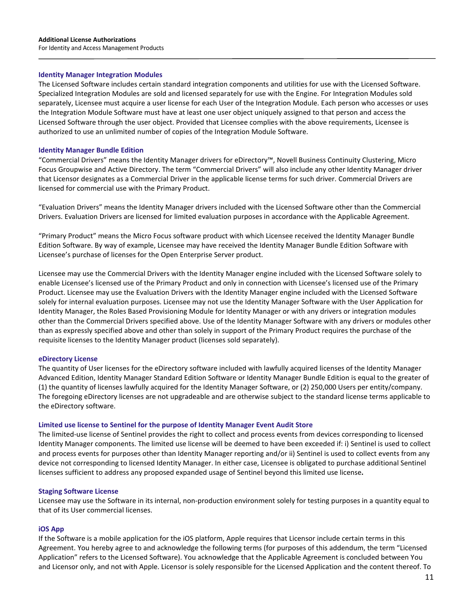#### **Identity Manager Integration Modules**

The Licensed Software includes certain standard integration components and utilities for use with the Licensed Software. Specialized Integration Modules are sold and licensed separately for use with the Engine. For Integration Modules sold separately, Licensee must acquire a user license for each User of the Integration Module. Each person who accesses or uses the Integration Module Software must have at least one user object uniquely assigned to that person and access the Licensed Software through the user object. Provided that Licensee complies with the above requirements, Licensee is authorized to use an unlimited number of copies of the Integration Module Software.

#### **Identity Manager Bundle Edition**

"Commercial Drivers" means the Identity Manager drivers for eDirectory™, Novell Business Continuity Clustering, Micro Focus Groupwise and Active Directory. The term "Commercial Drivers" will also include any other Identity Manager driver that Licensor designates as a Commercial Driver in the applicable license terms for such driver. Commercial Drivers are licensed for commercial use with the Primary Product.

"Evaluation Drivers" means the Identity Manager drivers included with the Licensed Software other than the Commercial Drivers. Evaluation Drivers are licensed for limited evaluation purposes in accordance with the Applicable Agreement.

"Primary Product" means the Micro Focus software product with which Licensee received the Identity Manager Bundle Edition Software. By way of example, Licensee may have received the Identity Manager Bundle Edition Software with Licensee's purchase of licenses for the Open Enterprise Server product.

Licensee may use the Commercial Drivers with the Identity Manager engine included with the Licensed Software solely to enable Licensee's licensed use of the Primary Product and only in connection with Licensee's licensed use of the Primary Product. Licensee may use the Evaluation Drivers with the Identity Manager engine included with the Licensed Software solely for internal evaluation purposes. Licensee may not use the Identity Manager Software with the User Application for Identity Manager, the Roles Based Provisioning Module for Identity Manager or with any drivers or integration modules other than the Commercial Drivers specified above. Use of the Identity Manager Software with any drivers or modules other than as expressly specified above and other than solely in support of the Primary Product requires the purchase of the requisite licenses to the Identity Manager product (licenses sold separately).

#### **eDirectory License**

The quantity of User licenses for the eDirectory software included with lawfully acquired licenses of the Identity Manager Advanced Edition, Identity Manager Standard Edition Software or Identity Manager Bundle Edition is equal to the greater of (1) the quantity of licenses lawfully acquired for the Identity Manager Software, or (2) 250,000 Users per entity/company. The foregoing eDirectory licenses are not upgradeable and are otherwise subject to the standard license terms applicable to the eDirectory software.

#### **Limited use license to Sentinel for the purpose of Identity Manager Event Audit Store**

The limited-use license of Sentinel provides the right to collect and process events from devices corresponding to licensed Identity Manager components. The limited use license will be deemed to have been exceeded if: i) Sentinel is used to collect and process events for purposes other than Identity Manager reporting and/or ii) Sentinel is used to collect events from any device not corresponding to licensed Identity Manager. In either case, Licensee is obligated to purchase additional Sentinel licenses sufficient to address any proposed expanded usage of Sentinel beyond this limited use license**.**

#### **Staging Software License**

Licensee may use the Software in its internal, non-production environment solely for testing purposes in a quantity equal to that of its User commercial licenses.

#### **iOS App**

If the Software is a mobile application for the iOS platform, Apple requires that Licensor include certain terms in this Agreement. You hereby agree to and acknowledge the following terms (for purposes of this addendum, the term "Licensed Application" refers to the Licensed Software). You acknowledge that the Applicable Agreement is concluded between You and Licensor only, and not with Apple. Licensor is solely responsible for the Licensed Application and the content thereof. To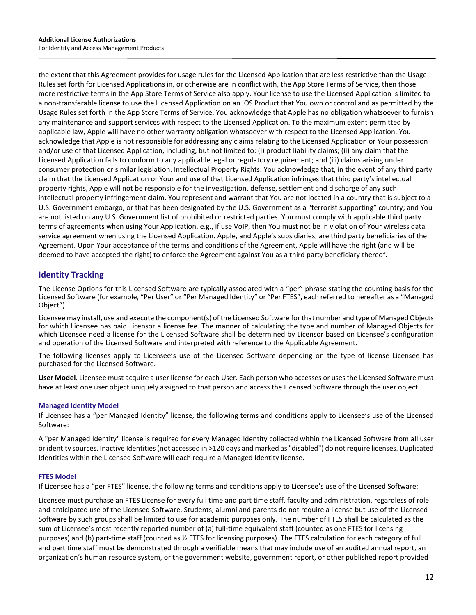the extent that this Agreement provides for usage rules for the Licensed Application that are less restrictive than the Usage Rules set forth for Licensed Applications in, or otherwise are in conflict with, the App Store Terms of Service, then those more restrictive terms in the App Store Terms of Service also apply. Your license to use the Licensed Application is limited to a non-transferable license to use the Licensed Application on an iOS Product that You own or control and as permitted by the Usage Rules set forth in the App Store Terms of Service. You acknowledge that Apple has no obligation whatsoever to furnish any maintenance and support services with respect to the Licensed Application. To the maximum extent permitted by applicable law, Apple will have no other warranty obligation whatsoever with respect to the Licensed Application. You acknowledge that Apple is not responsible for addressing any claims relating to the Licensed Application or Your possession and/or use of that Licensed Application, including, but not limited to: (i) product liability claims; (ii) any claim that the Licensed Application fails to conform to any applicable legal or regulatory requirement; and (iii) claims arising under consumer protection or similar legislation. Intellectual Property Rights: You acknowledge that, in the event of any third party claim that the Licensed Application or Your and use of that Licensed Application infringes that third party's intellectual property rights, Apple will not be responsible for the investigation, defense, settlement and discharge of any such intellectual property infringement claim. You represent and warrant that You are not located in a country that is subject to a U.S. Government embargo, or that has been designated by the U.S. Government as a "terrorist supporting" country; and You are not listed on any U.S. Government list of prohibited or restricted parties. You must comply with applicable third party terms of agreements when using Your Application, e.g., if use VoIP, then You must not be in violation of Your wireless data service agreement when using the Licensed Application. Apple, and Apple's subsidiaries, are third party beneficiaries of the Agreement. Upon Your acceptance of the terms and conditions of the Agreement, Apple will have the right (and will be deemed to have accepted the right) to enforce the Agreement against You as a third party beneficiary thereof.

# **Identity Tracking**

The License Options for this Licensed Software are typically associated with a "per" phrase stating the counting basis for the Licensed Software (for example, "Per User" or "Per Managed Identity" or "Per FTES", each referred to hereafter as a "Managed Object").

Licensee may install, use and execute the component(s) of the Licensed Software for that number and type of Managed Objects for which Licensee has paid Licensor a license fee. The manner of calculating the type and number of Managed Objects for which Licensee need a license for the Licensed Software shall be determined by Licensor based on Licensee's configuration and operation of the Licensed Software and interpreted with reference to the Applicable Agreement.

The following licenses apply to Licensee's use of the Licensed Software depending on the type of license Licensee has purchased for the Licensed Software.

**User Model**. Licensee must acquire a user license for each User. Each person who accesses or uses the Licensed Software must have at least one user object uniquely assigned to that person and access the Licensed Software through the user object.

# **Managed Identity Model**

If Licensee has a "per Managed Identity" license, the following terms and conditions apply to Licensee's use of the Licensed Software:

A "per Managed Identity" license is required for every Managed Identity collected within the Licensed Software from all user or identity sources. Inactive Identities (not accessed in >120 days and marked as "disabled") do not require licenses. Duplicated Identities within the Licensed Software will each require a Managed Identity license.

#### **FTES Model**

If Licensee has a "per FTES" license, the following terms and conditions apply to Licensee's use of the Licensed Software:

Licensee must purchase an FTES License for every full time and part time staff, faculty and administration, regardless of role and anticipated use of the Licensed Software. Students, alumni and parents do not require a license but use of the Licensed Software by such groups shall be limited to use for academic purposes only. The number of FTES shall be calculated as the sum of Licensee's most recently reported number of (a) full-time equivalent staff (counted as one FTES for licensing purposes) and (b) part-time staff (counted as ½ FTES for licensing purposes). The FTES calculation for each category of full and part time staff must be demonstrated through a verifiable means that may include use of an audited annual report, an organization's human resource system, or the government website, government report, or other published report provided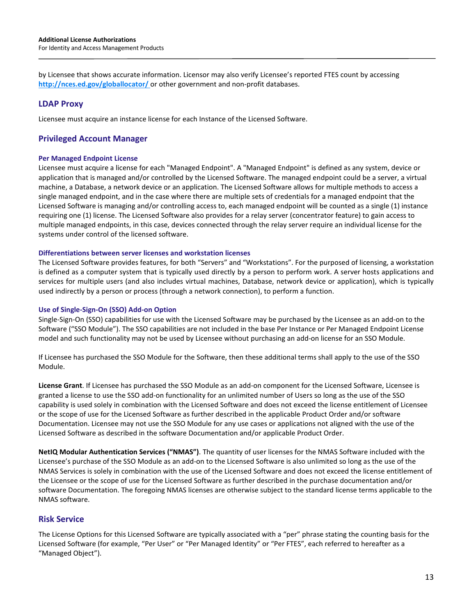by Licensee that shows accurate information. Licensor may also verify Licensee's reported FTES count by accessing <http://nces.ed.gov/globallocator/> or other government and non-profit databases.

# **LDAP Proxy**

Licensee must acquire an instance license for each Instance of the Licensed Software.

# **Privileged Account Manager**

#### **Per Managed Endpoint License**

Licensee must acquire a license for each "Managed Endpoint". A "Managed Endpoint" is defined as any system, device or application that is managed and/or controlled by the Licensed Software. The managed endpoint could be a server, a virtual machine, a Database, a network device or an application. The Licensed Software allows for multiple methods to access a single managed endpoint, and in the case where there are multiple sets of credentials for a managed endpoint that the Licensed Software is managing and/or controlling access to, each managed endpoint will be counted as a single (1) instance requiring one (1) license. The Licensed Software also provides for a relay server (concentrator feature) to gain access to multiple managed endpoints, in this case, devices connected through the relay server require an individual license for the systems under control of the licensed software.

#### **Differentiations between server licenses and workstation licenses**

The Licensed Software provides features, for both "Servers" and "Workstations". For the purposed of licensing, a workstation is defined as a computer system that is typically used directly by a person to perform work. A server hosts applications and services for multiple users (and also includes virtual machines, Database, network device or application), which is typically used indirectly by a person or process (through a network connection), to perform a function.

#### **Use of Single-Sign-On (SSO) Add-on Option**

Single-Sign-On (SSO) capabilities for use with the Licensed Software may be purchased by the Licensee as an add-on to the Software ("SSO Module"). The SSO capabilities are not included in the base Per Instance or Per Managed Endpoint License model and such functionality may not be used by Licensee without purchasing an add-on license for an SSO Module.

If Licensee has purchased the SSO Module for the Software, then these additional terms shall apply to the use of the SSO Module.

**License Grant**. If Licensee has purchased the SSO Module as an add-on component for the Licensed Software, Licensee is granted a license to use the SSO add-on functionality for an unlimited number of Users so long as the use of the SSO capability is used solely in combination with the Licensed Software and does not exceed the license entitlement of Licensee or the scope of use for the Licensed Software as further described in the applicable Product Order and/or software Documentation. Licensee may not use the SSO Module for any use cases or applications not aligned with the use of the Licensed Software as described in the software Documentation and/or applicable Product Order.

**NetIQ Modular Authentication Services ("NMAS")**. The quantity of user licenses for the NMAS Software included with the Licensee's purchase of the SSO Module as an add-on to the Licensed Software is also unlimited so long as the use of the NMAS Services is solely in combination with the use of the Licensed Software and does not exceed the license entitlement of the Licensee or the scope of use for the Licensed Software as further described in the purchase documentation and/or software Documentation. The foregoing NMAS licenses are otherwise subject to the standard license terms applicable to the NMAS software.

# **Risk Service**

The License Options for this Licensed Software are typically associated with a "per" phrase stating the counting basis for the Licensed Software (for example, "Per User" or "Per Managed Identity" or "Per FTES", each referred to hereafter as a "Managed Object").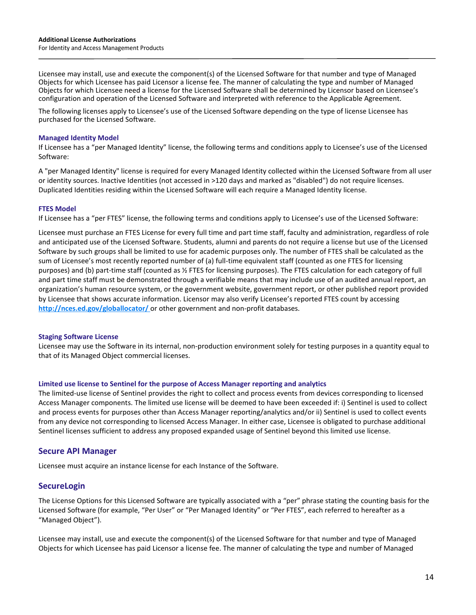Licensee may install, use and execute the component(s) of the Licensed Software for that number and type of Managed Objects for which Licensee has paid Licensor a license fee. The manner of calculating the type and number of Managed Objects for which Licensee need a license for the Licensed Software shall be determined by Licensor based on Licensee's configuration and operation of the Licensed Software and interpreted with reference to the Applicable Agreement.

The following licenses apply to Licensee's use of the Licensed Software depending on the type of license Licensee has purchased for the Licensed Software.

#### **Managed Identity Model**

If Licensee has a "per Managed Identity" license, the following terms and conditions apply to Licensee's use of the Licensed Software:

A "per Managed Identity" license is required for every Managed Identity collected within the Licensed Software from all user or identity sources. Inactive Identities (not accessed in >120 days and marked as "disabled") do not require licenses. Duplicated Identities residing within the Licensed Software will each require a Managed Identity license.

#### **FTES Model**

If Licensee has a "per FTES" license, the following terms and conditions apply to Licensee's use of the Licensed Software:

Licensee must purchase an FTES License for every full time and part time staff, faculty and administration, regardless of role and anticipated use of the Licensed Software. Students, alumni and parents do not require a license but use of the Licensed Software by such groups shall be limited to use for academic purposes only. The number of FTES shall be calculated as the sum of Licensee's most recently reported number of (a) full-time equivalent staff (counted as one FTES for licensing purposes) and (b) part-time staff (counted as ½ FTES for licensing purposes). The FTES calculation for each category of full and part time staff must be demonstrated through a verifiable means that may include use of an audited annual report, an organization's human resource system, or the government website, government report, or other published report provided by Licensee that shows accurate information. Licensor may also verify Licensee's reported FTES count by accessing **<http://nces.ed.gov/globallocator/>** or other government and non-profit databases.

#### **Staging Software License**

Licensee may use the Software in its internal, non-production environment solely for testing purposes in a quantity equal to that of its Managed Object commercial licenses.

#### **Limited use license to Sentinel for the purpose of Access Manager reporting and analytics**

The limited-use license of Sentinel provides the right to collect and process events from devices corresponding to licensed Access Manager components. The limited use license will be deemed to have been exceeded if: i) Sentinel is used to collect and process events for purposes other than Access Manager reporting/analytics and/or ii) Sentinel is used to collect events from any device not corresponding to licensed Access Manager. In either case, Licensee is obligated to purchase additional Sentinel licenses sufficient to address any proposed expanded usage of Sentinel beyond this limited use license.

# **Secure API Manager**

Licensee must acquire an instance license for each Instance of the Software.

# **SecureLogin**

The License Options for this Licensed Software are typically associated with a "per" phrase stating the counting basis for the Licensed Software (for example, "Per User" or "Per Managed Identity" or "Per FTES", each referred to hereafter as a "Managed Object").

Licensee may install, use and execute the component(s) of the Licensed Software for that number and type of Managed Objects for which Licensee has paid Licensor a license fee. The manner of calculating the type and number of Managed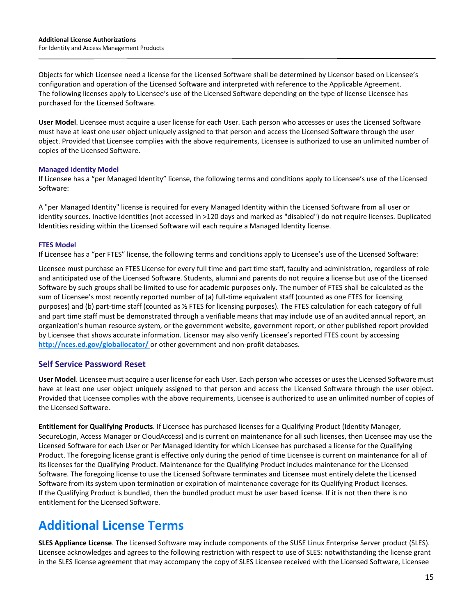Objects for which Licensee need a license for the Licensed Software shall be determined by Licensor based on Licensee's configuration and operation of the Licensed Software and interpreted with reference to the Applicable Agreement. The following licenses apply to Licensee's use of the Licensed Software depending on the type of license Licensee has purchased for the Licensed Software.

**User Model**. Licensee must acquire a user license for each User. Each person who accesses or uses the Licensed Software must have at least one user object uniquely assigned to that person and access the Licensed Software through the user object. Provided that Licensee complies with the above requirements, Licensee is authorized to use an unlimited number of copies of the Licensed Software.

#### **Managed Identity Model**

If Licensee has a "per Managed Identity" license, the following terms and conditions apply to Licensee's use of the Licensed Software:

A "per Managed Identity" license is required for every Managed Identity within the Licensed Software from all user or identity sources. Inactive Identities (not accessed in >120 days and marked as "disabled") do not require licenses. Duplicated Identities residing within the Licensed Software will each require a Managed Identity license.

#### **FTES Model**

If Licensee has a "per FTES" license, the following terms and conditions apply to Licensee's use of the Licensed Software:

Licensee must purchase an FTES License for every full time and part time staff, faculty and administration, regardless of role and anticipated use of the Licensed Software. Students, alumni and parents do not require a license but use of the Licensed Software by such groups shall be limited to use for academic purposes only. The number of FTES shall be calculated as the sum of Licensee's most recently reported number of (a) full-time equivalent staff (counted as one FTES for licensing purposes) and (b) part-time staff (counted as ½ FTES for licensing purposes). The FTES calculation for each category of full and part time staff must be demonstrated through a verifiable means that may include use of an audited annual report, an organization's human resource system, or the government website, government report, or other published report provided by Licensee that shows accurate information. Licensor may also verify Licensee's reported FTES count by accessing **<http://nces.ed.gov/globallocator/>** or other government and non-profit databases.

# **Self Service Password Reset**

**User Model**. Licensee must acquire a user license for each User. Each person who accesses or uses the Licensed Software must have at least one user object uniquely assigned to that person and access the Licensed Software through the user object. Provided that Licensee complies with the above requirements, Licensee is authorized to use an unlimited number of copies of the Licensed Software.

**Entitlement for Qualifying Products**. If Licensee has purchased licenses for a Qualifying Product (Identity Manager, SecureLogin, Access Manager or CloudAccess) and is current on maintenance for all such licenses, then Licensee may use the Licensed Software for each User or Per Managed Identity for which Licensee has purchased a license for the Qualifying Product. The foregoing license grant is effective only during the period of time Licensee is current on maintenance for all of its licenses for the Qualifying Product. Maintenance for the Qualifying Product includes maintenance for the Licensed Software. The foregoing license to use the Licensed Software terminates and Licensee must entirely delete the Licensed Software from its system upon termination or expiration of maintenance coverage for its Qualifying Product licenses. If the Qualifying Product is bundled, then the bundled product must be user based license. If it is not then there is no entitlement for the Licensed Software.

# **Additional License Terms**

**SLES Appliance License**. The Licensed Software may include components of the SUSE Linux Enterprise Server product (SLES). Licensee acknowledges and agrees to the following restriction with respect to use of SLES: notwithstanding the license grant in the SLES license agreement that may accompany the copy of SLES Licensee received with the Licensed Software, Licensee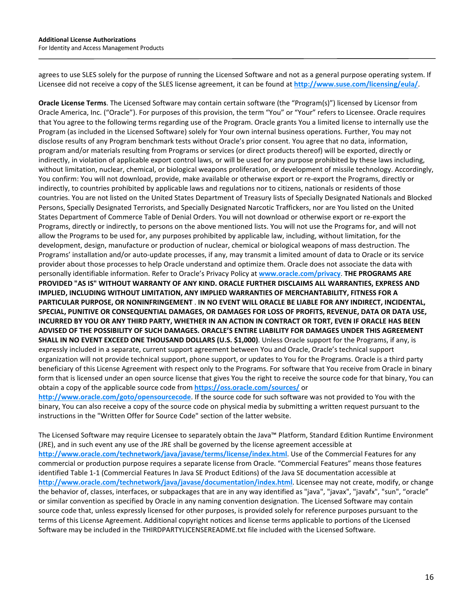agrees to use SLES solely for the purpose of running the Licensed Software and not as a general purpose operating system. If Licensee did not receive a copy of the SLES license agreement, it can be found at **<http://www.suse.com/licensing/eula/>**.

**Oracle License Terms**. The Licensed Software may contain certain software (the "Program(s)") licensed by Licensor from Oracle America, Inc. ("Oracle"). For purposes of this provision, the term "You" or "Your" refers to Licensee. Oracle requires that You agree to the following terms regarding use of the Program. Oracle grants You a limited license to internally use the Program (as included in the Licensed Software) solely for Your own internal business operations. Further, You may not disclose results of any Program benchmark tests without Oracle's prior consent. You agree that no data, information, program and/or materials resulting from Programs or services (or direct products thereof) will be exported, directly or indirectly, in violation of applicable export control laws, or will be used for any purpose prohibited by these laws including, without limitation, nuclear, chemical, or biological weapons proliferation, or development of missile technology. Accordingly, You confirm: You will not download, provide, make available or otherwise export or re-export the Programs, directly or indirectly, to countries prohibited by applicable laws and regulations nor to citizens, nationals or residents of those countries. You are not listed on the United States Department of Treasury lists of Specially Designated Nationals and Blocked Persons, Specially Designated Terrorists, and Specially Designated Narcotic Traffickers, nor are You listed on the United States Department of Commerce Table of Denial Orders. You will not download or otherwise export or re-export the Programs, directly or indirectly, to persons on the above mentioned lists. You will not use the Programs for, and will not allow the Programs to be used for, any purposes prohibited by applicable law, including, without limitation, for the development, design, manufacture or production of nuclear, chemical or biological weapons of mass destruction. The Programs' installation and/or auto-update processes, if any, may transmit a limited amount of data to Oracle or its service provider about those processes to help Oracle understand and optimize them. Oracle does not associate the data with personally identifiable information. Refer to Oracle's Privacy Policy at **[www.oracle.com/privacy](http://www.oracle.com/privacy)**. **THE PROGRAMS ARE PROVIDED "AS IS" WITHOUT WARRANTY OF ANY KIND. ORACLE FURTHER DISCLAIMS ALL WARRANTIES, EXPRESS AND IMPLIED, INCLUDING WITHOUT LIMITATION, ANY IMPLIED WARRANTIES OF MERCHANTABILITY, FITNESS FOR A PARTICULAR PURPOSE, OR NONINFRINGEMENT** . **IN NO EVENT WILL ORACLE BE LIABLE FOR ANY INDIRECT, INCIDENTAL, SPECIAL, PUNITIVE OR CONSEQUENTIAL DAMAGES, OR DAMAGES FOR LOSS OF PROFITS, REVENUE, DATA OR DATA USE, INCURRED BY YOU OR ANY THIRD PARTY, WHETHER IN AN ACTION IN CONTRACT OR TORT, EVEN IF ORACLE HAS BEEN ADVISED OF THE POSSIBILITY OF SUCH DAMAGES. ORACLE'S ENTIRE LIABILITY FOR DAMAGES UNDER THIS AGREEMENT SHALL IN NO EVENT EXCEED ONE THOUSAND DOLLARS (U.S. \$1,000)**. Unless Oracle support for the Programs, if any, is expressly included in a separate, current support agreement between You and Oracle, Oracle's technical support organization will not provide technical support, phone support, or updates to You for the Programs. Oracle is a third party beneficiary of this License Agreement with respect only to the Programs. For software that You receive from Oracle in binary form that is licensed under an open source license that gives You the right to receive the source code for that binary, You can obtain a copy of the applicable source code from **https://oss.oracle.com/sources/** or **http://www.oracle.com/goto/opensourcecode**. If the source code for such software was not provided to You with the

binary, You can also receive a copy of the source code on physical media by submitting a written request pursuant to the instructions in the "Written Offer for Source Code" section of the latter website.

The Licensed Software may require Licensee to separately obtain the Java™ Platform, Standard Edition Runtime Environment (JRE), and in such event any use of the JRE shall be governed by the license agreement accessible at **<http://www.oracle.com/technetwork/java/javase/terms/license/index.html>**. Use of the Commercial Features for any commercial or production purpose requires a separate license from Oracle. "Commercial Features" means those features identified Table 1-1 (Commercial Features In Java SE Product Editions) of the Java SE documentation accessible at **http://www.oracle.com/technetwork/java/javase/documentation/index.html**. Licensee may not create, modify, or change the behavior of, classes, interfaces, or subpackages that are in any way identified as "java", "javax", "javafx", "sun", "oracle" or similar convention as specified by Oracle in any naming convention designation. The Licensed Software may contain source code that, unless expressly licensed for other purposes, is provided solely for reference purposes pursuant to the terms of this License Agreement. Additional copyright notices and license terms applicable to portions of the Licensed Software may be included in the THIRDPARTYLICENSEREADME.txt file included with the Licensed Software.